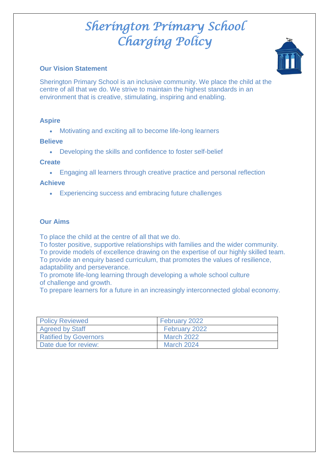## **Our Vision Statement**



Sherington Primary School is an inclusive community. We place the child at the centre of all that we do. We strive to maintain the highest standards in an environment that is creative, stimulating, inspiring and enabling.

## **Aspire**

Motivating and exciting all to become life-long learners

#### **Believe**

Developing the skills and confidence to foster self-belief

## **Create**

Engaging all learners through creative practice and personal reflection

## **Achieve**

Experiencing success and embracing future challenges

## **Our Aims**

To place the child at the centre of all that we do.

To foster positive, supportive relationships with families and the wider community. To provide models of excellence drawing on the expertise of our highly skilled team. To provide an enquiry based curriculum, that promotes the values of resilience, adaptability and perseverance.

To promote life-long learning through developing a whole school culture of challenge and growth.

To prepare learners for a future in an increasingly interconnected global economy.

| <b>Policy Reviewed</b>       | February 2022     |
|------------------------------|-------------------|
| <b>Agreed by Staff</b>       | February 2022     |
| <b>Ratified by Governors</b> | <b>March 2022</b> |
| Date due for review:         | <b>March 2024</b> |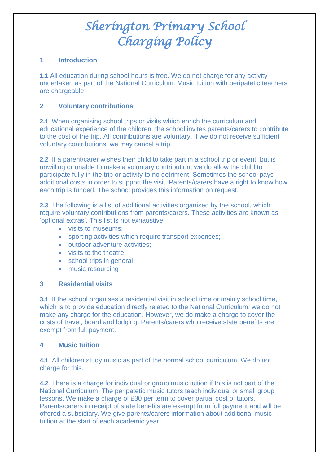## **1 Introduction**

**1.1** All education during school hours is free. We do not charge for any activity undertaken as part of the National Curriculum. Music tuition with peripatetic teachers are chargeable

## **2 Voluntary contributions**

**2.1** When organising school trips or visits which enrich the curriculum and educational experience of the children, the school invites parents/carers to contribute to the cost of the trip. All contributions are voluntary. If we do not receive sufficient voluntary contributions, we may cancel a trip.

**2.2** If a parent/carer wishes their child to take part in a school trip or event, but is unwilling or unable to make a voluntary contribution, we do allow the child to participate fully in the trip or activity to no detriment. Sometimes the school pays additional costs in order to support the visit. Parents/carers have a right to know how each trip is funded. The school provides this information on request.

**2.3** The following is a list of additional activities organised by the school, which require voluntary contributions from parents/carers. These activities are known as 'optional extras'. This list is not exhaustive:

- visits to museums;
- sporting activities which require transport expenses;
- outdoor adventure activities:
- visits to the theatre:
- school trips in general;
- music resourcing

#### **3 Residential visits**

**3.1** If the school organises a residential visit in school time or mainly school time, which is to provide education directly related to the National Curriculum, we do not make any charge for the education. However, we do make a charge to cover the costs of travel, board and lodging. Parents/carers who receive state benefits are exempt from full payment.

#### **4 Music tuition**

**4.1** All children study music as part of the normal school curriculum. We do not charge for this.

**4.2** There is a charge for individual or group music tuition if this is not part of the National Curriculum. The peripatetic music tutors teach individual or small group lessons. We make a charge of £30 per term to cover partial cost of tutors. Parents/carers in receipt of state benefits are exempt from full payment and will be offered a subsidiary. We give parents/carers information about additional music tuition at the start of each academic year.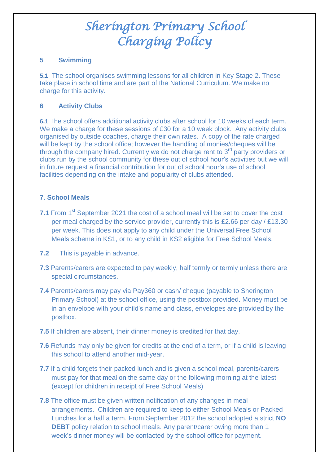## **5 Swimming**

**5.1** The school organises swimming lessons for all children in Key Stage 2. These take place in school time and are part of the National Curriculum. We make no charge for this activity.

## **6 Activity Clubs**

**6.1** The school offers additional activity clubs after school for 10 weeks of each term. We make a charge for these sessions of £30 for a 10 week block. Any activity clubs organised by outside coaches, charge their own rates. A copy of the rate charged will be kept by the school office; however the handling of monies/cheques will be through the company hired. Currently we do not charge rent to 3<sup>rd</sup> party providers or clubs run by the school community for these out of school hour's activities but we will in future request a financial contribution for out of school hour's use of school facilities depending on the intake and popularity of clubs attended.

## **7**. **School Meals**

- **7.1** From 1<sup>st</sup> September 2021 the cost of a school meal will be set to cover the cost per meal charged by the service provider, currently this is £2.66 per day / £13.30 per week. This does not apply to any child under the Universal Free School Meals scheme in KS1, or to any child in KS2 eligible for Free School Meals.
- **7.2** This is payable in advance.
- **7.3** Parents/carers are expected to pay weekly, half termly or termly unless there are special circumstances.
- **7.4** Parents/carers may pay via Pay360 or cash/ cheque (payable to Sherington Primary School) at the school office, using the postbox provided. Money must be in an envelope with your child's name and class, envelopes are provided by the postbox.
- **7.5** If children are absent, their dinner money is credited for that day.
- **7.6** Refunds may only be given for credits at the end of a term, or if a child is leaving this school to attend another mid-year.
- **7.7** If a child forgets their packed lunch and is given a school meal, parents/carers must pay for that meal on the same day or the following morning at the latest (except for children in receipt of Free School Meals)
- **7.8** The office must be given written notification of any changes in meal arrangements. Children are required to keep to either School Meals or Packed Lunches for a half a term. From September 2012 the school adopted a strict **NO DEBT** policy relation to school meals. Any parent/carer owing more than 1 week's dinner money will be contacted by the school office for payment.